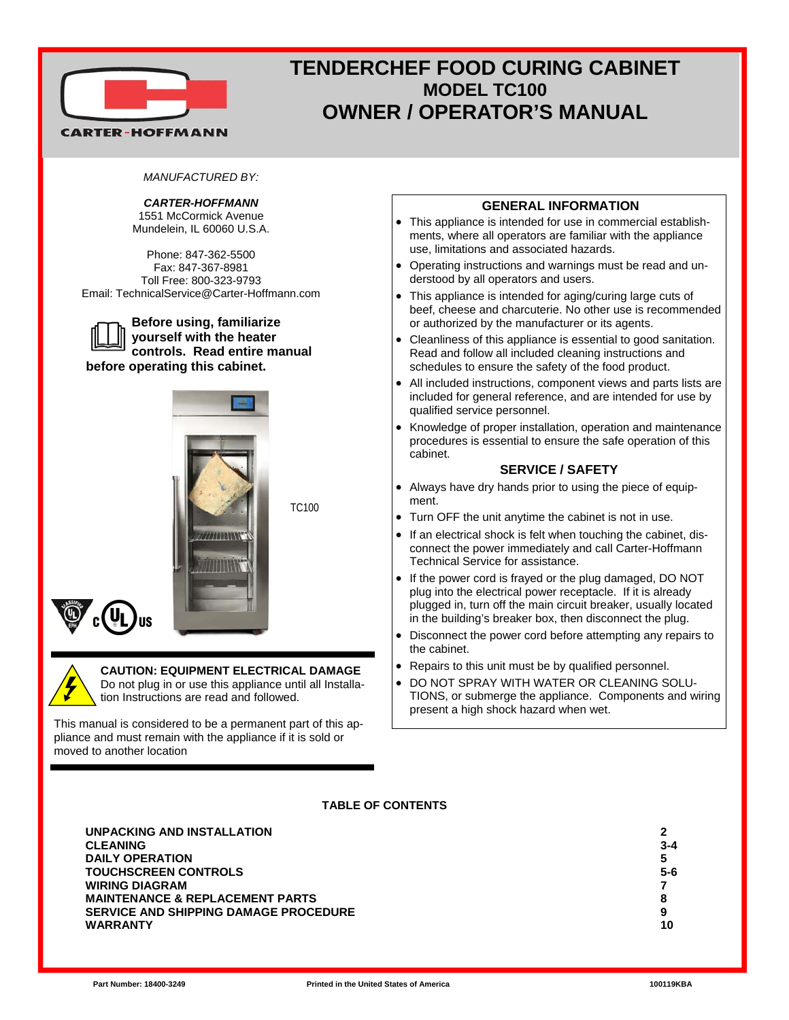

# **TENDERCHEF FOOD CURING CABINET MODEL TC100 OWNER / OPERATOR'S MANUAL**

### *MANUFACTURED BY:*

# *CARTER-HOFFMANN*

1551 McCormick Avenue Mundelein, IL 60060 U.S.A.

Phone: 847-362-5500 Fax: 847-367-8981 Toll Free: 800-323-9793 Email: TechnicalService@Carter-Hoffmann.com

**Before using, familiarize yourself with the heater controls. Read entire manual before operating this cabinet.** 



TC100



#### **CAUTION: EQUIPMENT ELECTRICAL DAMAGE**  Do not plug in or use this appliance until all Installation Instructions are read and followed.

This manual is considered to be a permanent part of this appliance and must remain with the appliance if it is sold or moved to another location

### **GENERAL INFORMATION**

- This appliance is intended for use in commercial establishments, where all operators are familiar with the appliance use, limitations and associated hazards.
- Operating instructions and warnings must be read and understood by all operators and users.
- This appliance is intended for aging/curing large cuts of beef, cheese and charcuterie. No other use is recommended or authorized by the manufacturer or its agents.
- Cleanliness of this appliance is essential to good sanitation. Read and follow all included cleaning instructions and schedules to ensure the safety of the food product.
- All included instructions, component views and parts lists are included for general reference, and are intended for use by qualified service personnel.
- Knowledge of proper installation, operation and maintenance procedures is essential to ensure the safe operation of this cabinet.

## **SERVICE / SAFETY**

- Always have dry hands prior to using the piece of equipment.
- Turn OFF the unit anytime the cabinet is not in use.
- If an electrical shock is felt when touching the cabinet, disconnect the power immediately and call Carter-Hoffmann Technical Service for assistance.
- If the power cord is frayed or the plug damaged, DO NOT plug into the electrical power receptacle. If it is already plugged in, turn off the main circuit breaker, usually located in the building's breaker box, then disconnect the plug.
- Disconnect the power cord before attempting any repairs to the cabinet.
- Repairs to this unit must be by qualified personnel.
- DO NOT SPRAY WITH WATER OR CLEANING SOLU-TIONS, or submerge the appliance. Components and wiring present a high shock hazard when wet.

### **TABLE OF CONTENTS**

| 2<br>$3 - 4$<br>5<br>$5 - 6$<br>8<br>9 |
|----------------------------------------|
| 10                                     |
|                                        |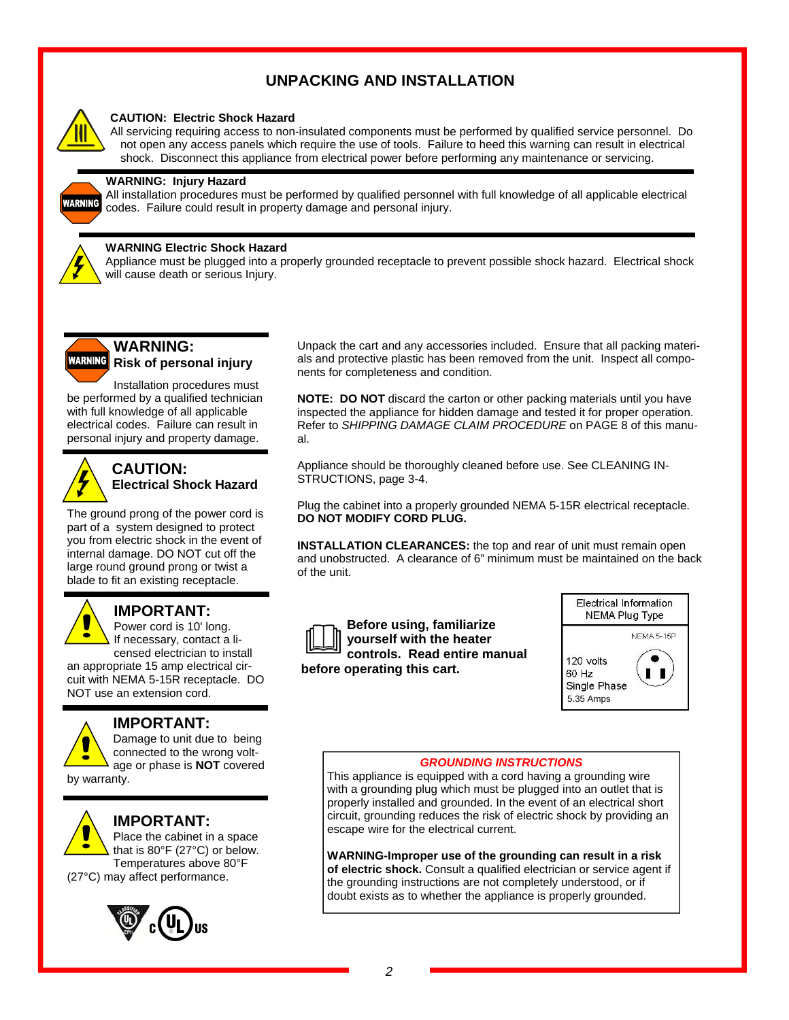# **UNPACKING AND INSTALLATION**



### **CAUTION: Electric Shock Hazard**

All servicing requiring access to non-insulated components must be performed by qualified service personnel. Do not open any access panels which require the use of tools. Failure to heed this warning can result in electrical shock. Disconnect this appliance from electrical power before performing any maintenance or servicing.

### **WARNING: Injury Hazard**

All installation procedures must be performed by qualified personnel with full knowledge of all applicable electrical codes. Failure could result in property damage and personal injury.



WARNING

### **WARNING Electric Shock Hazard**

Appliance must be plugged into a properly grounded receptacle to prevent possible shock hazard. Electrical shock will cause death or serious Injury.



# **WARNING: WARNING** Risk of personal injury

Installation procedures must be performed by a qualified technician with full knowledge of all applicable electrical codes. Failure can result in personal injury and property damage.



## **CAUTION: Electrical Shock Hazard**

The ground prong of the power cord is part of a system designed to protect you from electric shock in the event of internal damage. DO NOT cut off the large round ground prong or twist a blade to fit an existing receptacle.

### **IMPORTANT:**

Power cord is 10' long. If necessary, contact a licensed electrician to install

an appropriate 15 amp electrical circuit with NEMA 5-15R receptacle. DO NOT use an extension cord.



# **IMPORTANT:**

Damage to unit due to being connected to the wrong voltage or phase is **NOT** covered

by warranty.

# **IMPORTANT:**

Place the cabinet in a space that is 80°F (27°C) or below. Temperatures above 80°F (27°C) may affect performance.



Unpack the cart and any accessories included. Ensure that all packing materials and protective plastic has been removed from the unit. Inspect all components for completeness and condition.

**NOTE: DO NOT** discard the carton or other packing materials until you have inspected the appliance for hidden damage and tested it for proper operation. Refer to *SHIPPING DAMAGE CLAIM PROCEDURE* on PAGE 8 of this manual.

Appliance should be thoroughly cleaned before use. See CLEANING IN-STRUCTIONS, page 3-4.

Plug the cabinet into a properly grounded NEMA 5-15R electrical receptacle. **DO NOT MODIFY CORD PLUG.** 

**INSTALLATION CLEARANCES:** the top and rear of unit must remain open and unobstructed. A clearance of 6" minimum must be maintained on the back of the unit.



**Before using, familiarize yourself with the heater controls. Read entire manual before operating this cart.** 



#### *GROUNDING INSTRUCTIONS*

This appliance is equipped with a cord having a grounding wire with a grounding plug which must be plugged into an outlet that is properly installed and grounded. In the event of an electrical short circuit, grounding reduces the risk of electric shock by providing an escape wire for the electrical current.

**WARNING-Improper use of the grounding can result in a risk of electric shock.** Consult a qualified electrician or service agent if the grounding instructions are not completely understood, or if doubt exists as to whether the appliance is properly grounded.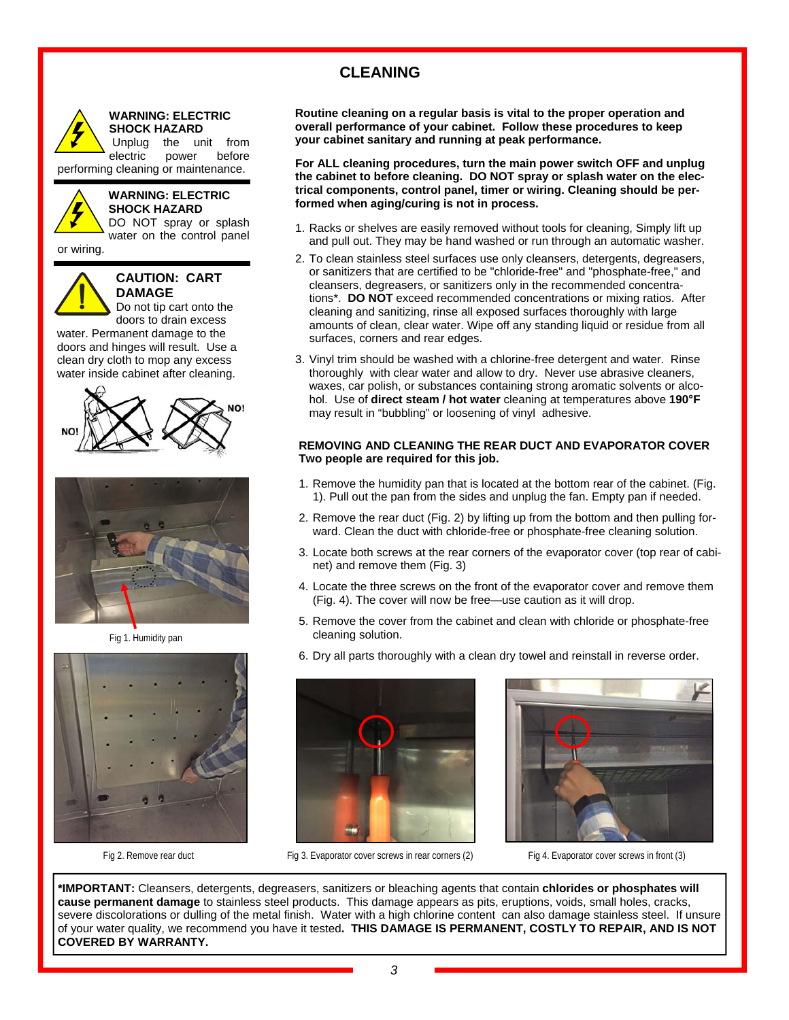# **CLEANING**



**WARNING: ELECTRIC SHOCK HAZARD** 

 Unplug the unit from electric power before

performing cleaning or maintenance.



#### **WARNING: ELECTRIC SHOCK HAZARD**

DO NOT spray or splash water on the control panel

or wiring.



### **CAUTION: CART DAMAGE**

Do not tip cart onto the doors to drain excess

water. Permanent damage to the doors and hinges will result. Use a clean dry cloth to mop any excess water inside cabinet after cleaning.





Fig 1. Humidity pan



**Routine cleaning on a regular basis is vital to the proper operation and overall performance of your cabinet. Follow these procedures to keep your cabinet sanitary and running at peak performance.**

**For ALL cleaning procedures, turn the main power switch OFF and unplug the cabinet to before cleaning. DO NOT spray or splash water on the electrical components, control panel, timer or wiring. Cleaning should be performed when aging/curing is not in process.**

- 1. Racks or shelves are easily removed without tools for cleaning, Simply lift up and pull out. They may be hand washed or run through an automatic washer.
- 2. To clean stainless steel surfaces use only cleansers, detergents, degreasers, or sanitizers that are certified to be "chloride-free" and "phosphate-free," and cleansers, degreasers, or sanitizers only in the recommended concentrations\*. **DO NOT** exceed recommended concentrations or mixing ratios. After cleaning and sanitizing, rinse all exposed surfaces thoroughly with large amounts of clean, clear water. Wipe off any standing liquid or residue from all surfaces, corners and rear edges.
- 3. Vinyl trim should be washed with a chlorine-free detergent and water. Rinse thoroughly with clear water and allow to dry. Never use abrasive cleaners, waxes, car polish, or substances containing strong aromatic solvents or alcohol. Use of **direct steam / hot water** cleaning at temperatures above **190°F**  may result in "bubbling" or loosening of vinyl adhesive.

### **REMOVING AND CLEANING THE REAR DUCT AND EVAPORATOR COVER Two people are required for this job.**

- 1. Remove the humidity pan that is located at the bottom rear of the cabinet. (Fig. 1). Pull out the pan from the sides and unplug the fan. Empty pan if needed.
- 2. Remove the rear duct (Fig. 2) by lifting up from the bottom and then pulling forward. Clean the duct with chloride-free or phosphate-free cleaning solution.
- 3. Locate both screws at the rear corners of the evaporator cover (top rear of cabinet) and remove them (Fig. 3)
- 4. Locate the three screws on the front of the evaporator cover and remove them (Fig. 4). The cover will now be free—use caution as it will drop.
- 5. Remove the cover from the cabinet and clean with chloride or phosphate-free cleaning solution.
- 6. Dry all parts thoroughly with a clean dry towel and reinstall in reverse order.



Fig 3. Evaporator cover screws in rear corners (2) Fig 4. Evaporator cover screws in front (3) Fig 4. Evaporator cover screws in front (3)



**\*IMPORTANT:** Cleansers, detergents, degreasers, sanitizers or bleaching agents that contain **chlorides or phosphates will cause permanent damage** to stainless steel products. This damage appears as pits, eruptions, voids, small holes, cracks, severe discolorations or dulling of the metal finish. Water with a high chlorine content can also damage stainless steel. If unsure of your water quality, we recommend you have it tested**. THIS DAMAGE IS PERMANENT, COSTLY TO REPAIR, AND IS NOT COVERED BY WARRANTY.**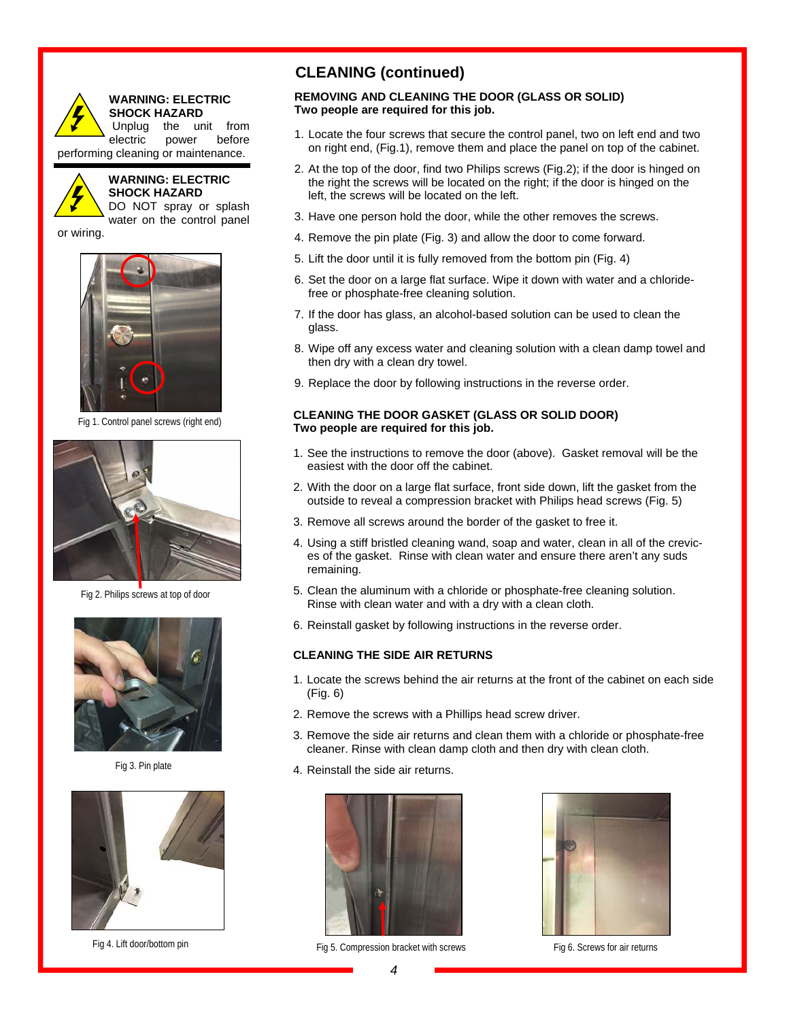

#### **WARNING: ELECTRIC SHOCK HAZARD**

 Unplug the unit from electric power before performing cleaning or maintenance.



#### **WARNING: ELECTRIC SHOCK HAZARD**  DO NOT spray or splash

water on the control panel

or wiring.



Fig 1. Control panel screws (right end)



Fig 2. Philips screws at top of door



Fig 3. Pin plate



Fig 4. Lift door/bottom pin

# **CLEANING (continued)**

### **REMOVING AND CLEANING THE DOOR (GLASS OR SOLID) Two people are required for this job.**

- 1. Locate the four screws that secure the control panel, two on left end and two on right end, (Fig.1), remove them and place the panel on top of the cabinet.
- 2. At the top of the door, find two Philips screws (Fig.2); if the door is hinged on the right the screws will be located on the right; if the door is hinged on the left, the screws will be located on the left.
- 3. Have one person hold the door, while the other removes the screws.
- 4. Remove the pin plate (Fig. 3) and allow the door to come forward.
- 5. Lift the door until it is fully removed from the bottom pin (Fig. 4)
- 6. Set the door on a large flat surface. Wipe it down with water and a chloridefree or phosphate-free cleaning solution.
- 7. If the door has glass, an alcohol-based solution can be used to clean the glass.
- 8. Wipe off any excess water and cleaning solution with a clean damp towel and then dry with a clean dry towel.
- 9. Replace the door by following instructions in the reverse order.

### **CLEANING THE DOOR GASKET (GLASS OR SOLID DOOR) Two people are required for this job.**

- 1. See the instructions to remove the door (above). Gasket removal will be the easiest with the door off the cabinet.
- 2. With the door on a large flat surface, front side down, lift the gasket from the outside to reveal a compression bracket with Philips head screws (Fig. 5)
- 3. Remove all screws around the border of the gasket to free it.
- 4. Using a stiff bristled cleaning wand, soap and water, clean in all of the crevices of the gasket. Rinse with clean water and ensure there aren't any suds remaining.
- 5. Clean the aluminum with a chloride or phosphate-free cleaning solution. Rinse with clean water and with a dry with a clean cloth.
- 6. Reinstall gasket by following instructions in the reverse order.

### **CLEANING THE SIDE AIR RETURNS**

- 1. Locate the screws behind the air returns at the front of the cabinet on each side (Fig. 6)
- 2. Remove the screws with a Phillips head screw driver.
- 3. Remove the side air returns and clean them with a chloride or phosphate-free cleaner. Rinse with clean damp cloth and then dry with clean cloth.
- 4. Reinstall the side air returns.



Fig 5. Compression bracket with screws Fig 6. Screws for air returns

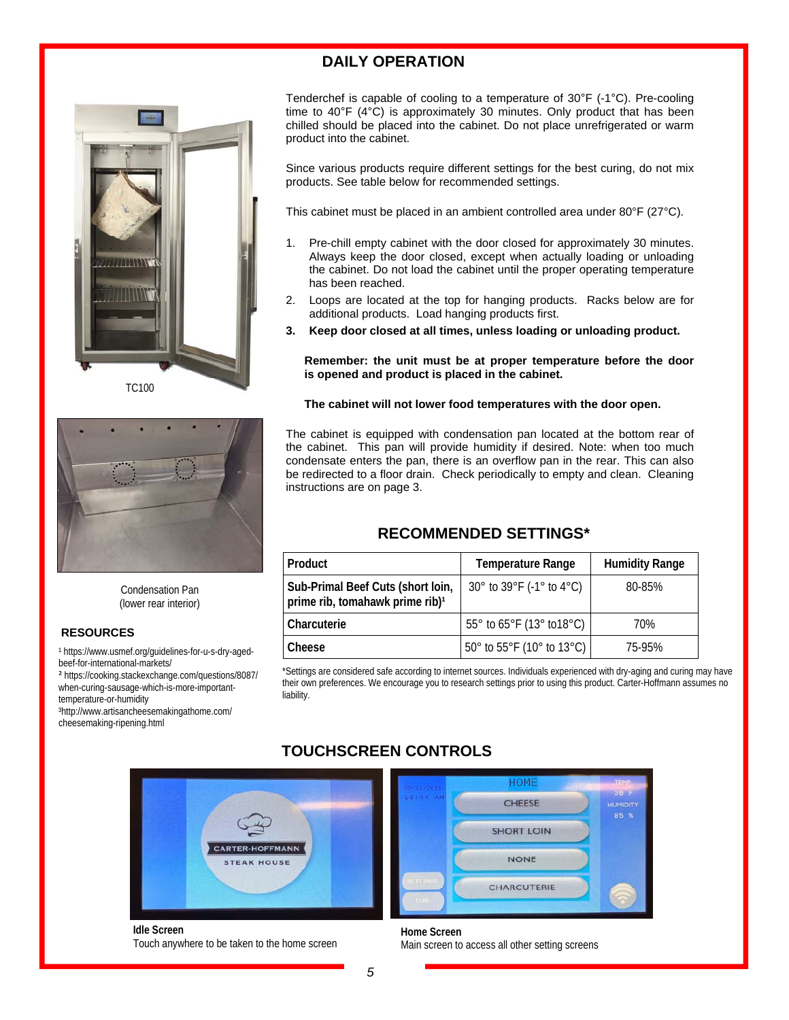# **DAILY OPERATION**







Condensation Pan (lower rear interior)

#### **RESOURCES**

1 https://www.usmef.org/guidelines-for-u-s-dry-agedbeef-for-international-markets/

² https://cooking.stackexchange.com/questions/8087/ when-curing-sausage-which-is-more-importanttemperature-or-humidity

³http://www.artisancheesemakingathome.com/ cheesemaking-ripening.html

30° to 39°F (-1° to 4°C) | 80-85% \*Settings are considered safe according to internet sources. Individuals experienced with dry-aging and curing may have

# **TOUCHSCREEN CONTROLS**



**Idle Screen**  Touch anywhere to be taken to the home screen



**Home Screen**  Main screen to access all other setting screens

Tenderchef is capable of cooling to a temperature of 30°F (-1°C). Pre-cooling time to 40°F (4°C) is approximately 30 minutes. Only product that has been chilled should be placed into the cabinet. Do not place unrefrigerated or warm product into the cabinet.

Since various products require different settings for the best curing, do not mix products. See table below for recommended settings.

This cabinet must be placed in an ambient controlled area under 80°F (27°C).

- 1. Pre-chill empty cabinet with the door closed for approximately 30 minutes. Always keep the door closed, except when actually loading or unloading the cabinet. Do not load the cabinet until the proper operating temperature has been reached.
- 2. Loops are located at the top for hanging products. Racks below are for additional products. Load hanging products first.
- **3. Keep door closed at all times, unless loading or unloading product.**

#### **Remember: the unit must be at proper temperature before the door is opened and product is placed in the cabinet.**

#### **The cabinet will not lower food temperatures with the door open.**

The cabinet is equipped with condensation pan located at the bottom rear of the cabinet. This pan will provide humidity if desired. Note: when too much condensate enters the pan, there is an overflow pan in the rear. This can also be redirected to a floor drain. Check periodically to empty and clean. Cleaning instructions are on page 3.

# **RECOMMENDED SETTINGS\***

| <b>Product</b>                                                                   | <b>Temperature Range</b>  | <b>Humidity Range</b> |
|----------------------------------------------------------------------------------|---------------------------|-----------------------|
| Sub-Primal Beef Cuts (short loin,<br>prime rib, tomahawk prime rib) <sup>1</sup> | 30° to 39°F (-1° to 4°C)  | 80-85%                |
| Charcuterie                                                                      | 55° to 65°F (13° to 18°C) | 70%                   |
| Cheese                                                                           | 50° to 55°F (10° to 13°C) | 75-95%                |

their own preferences. We encourage you to research settings prior to using this product. Carter-Hoffmann assumes no liability.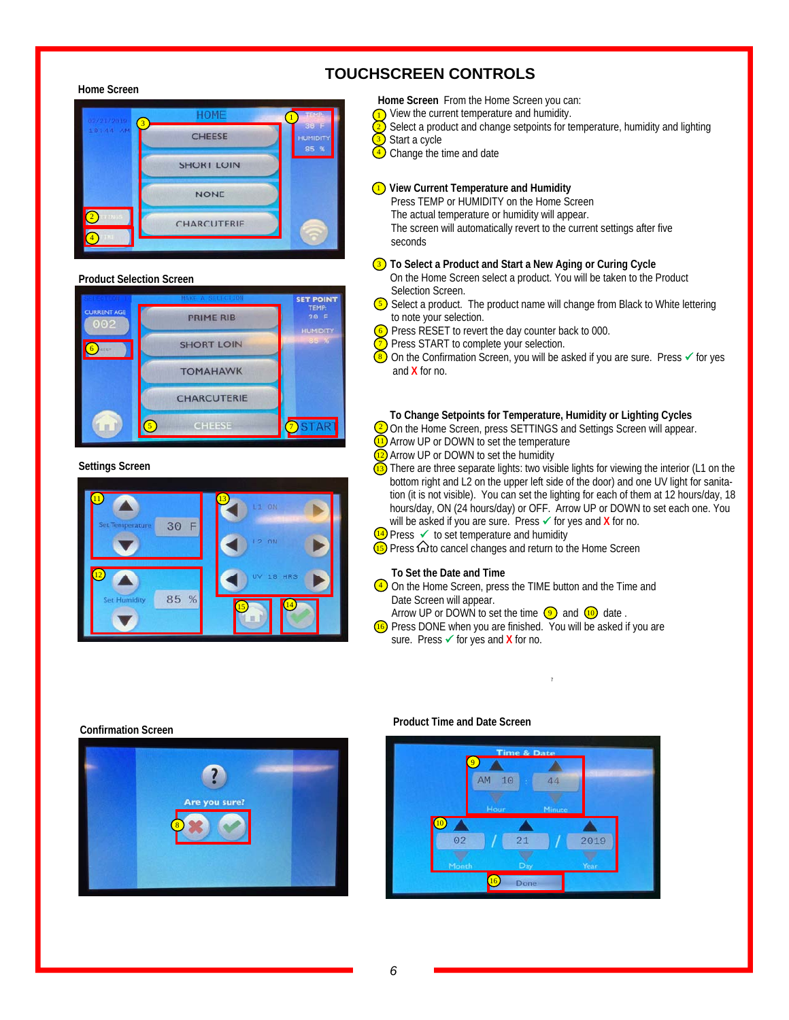#### **Home Screen**



#### **Product Selection Screen**



**Settings Screen**



# **TOUCHSCREEN CONTROLS**

- **Home Screen** From the Home Screen you can:
- $\overline{1}$ ) View the current temperature and humidity.
- Select a product and change setpoints for temperature, humidity and lighting 2
- Start a cycle 3
- Change the time and date  $\left(4\right)$

#### **View Current Temperature and Humidity**  1

 Press TEMP or HUMIDITY on the Home Screen The actual temperature or humidity will appear. The screen will automatically revert to the current settings after five seconds

#### **3** To Select a Product and Start a New Aging or Curing Cycle

- On the Home Screen select a product. You will be taken to the Product Selection Screen.
- $\overline{S}$  Select a product. The product name will change from Black to White lettering to note your selection.
- Press RESET to revert the day counter back to 000. 6
- Press START to complete your selection. 7
- On the Confirmation Screen, you will be asked if you are sure. Press  $\checkmark$  for yes and **X** for no. 8
- **To Change Setpoints for Temperature, Humidity or Lighting Cycles**
- $\frac{2}{2}$  On the Home Screen, press SETTINGS and Settings Screen will appear.
- Arrow UP or DOWN to set the temperature 11
- Arrow UP or DOWN to set the humidity 12
- There are three separate lights: two visible lights for viewing the interior (L1 on the bottom right and L2 on the upper left side of the door) and one UV light for sanitation (it is not visible). You can set the lighting for each of them at 12 hours/day, 18 hours/day, ON (24 hours/day) or OFF. Arrow UP or DOWN to set each one. You will be asked if you are sure. Press **✓** for yes and **X** for no. 13
- 14) Press  $\checkmark$  to set temperature and humidity
- **15** Press **G** to cancel changes and return to the Home Screen

#### **To Set the Date and Time**

- $\overline{4}$  On the Home Screen, press the TIME button and the Time and Date Screen will appear.
- Arrow UP or DOWN to set the time  $\circled{9}$  and  $\circled{10}$  date.
- Press DONE when you are finished. You will be asked if you are sure. Press **✓** for yes and **X** for no. 16

7

#### **Confirmation Screen**



### **Product Time and Date Screen**

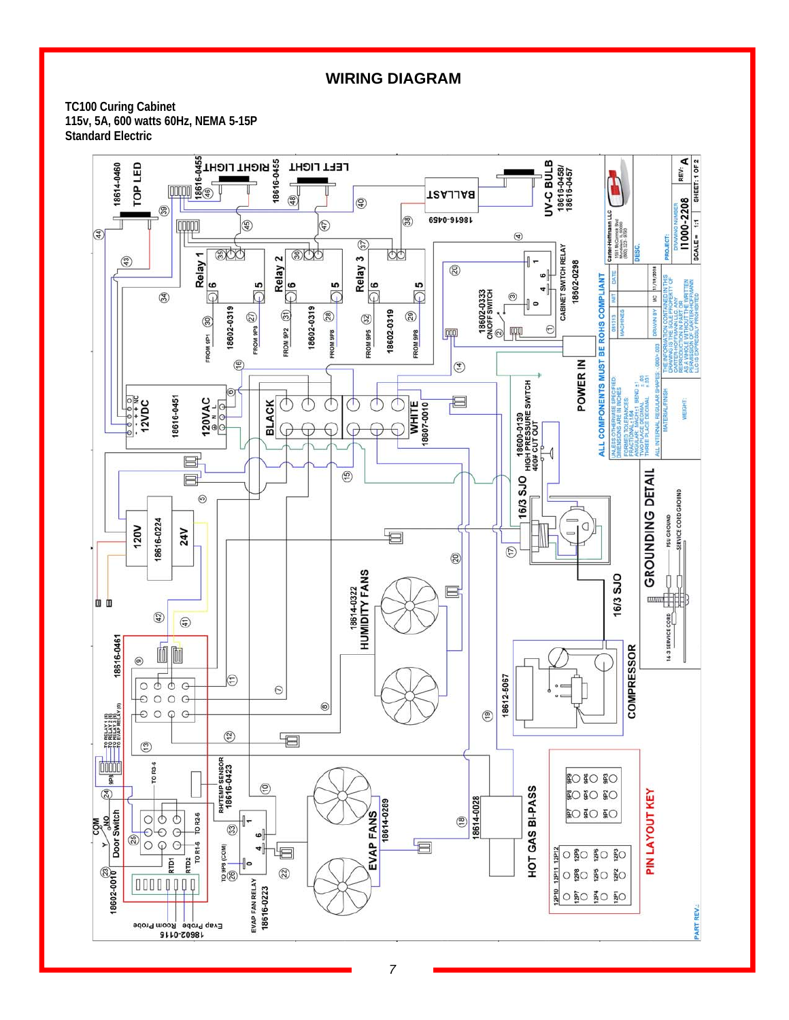# **WIRING DIAGRAM**

**TC100 Curing Cabinet 115v, 5A, 600 watts 60Hz, NEMA 5-15P Standard Electric** 

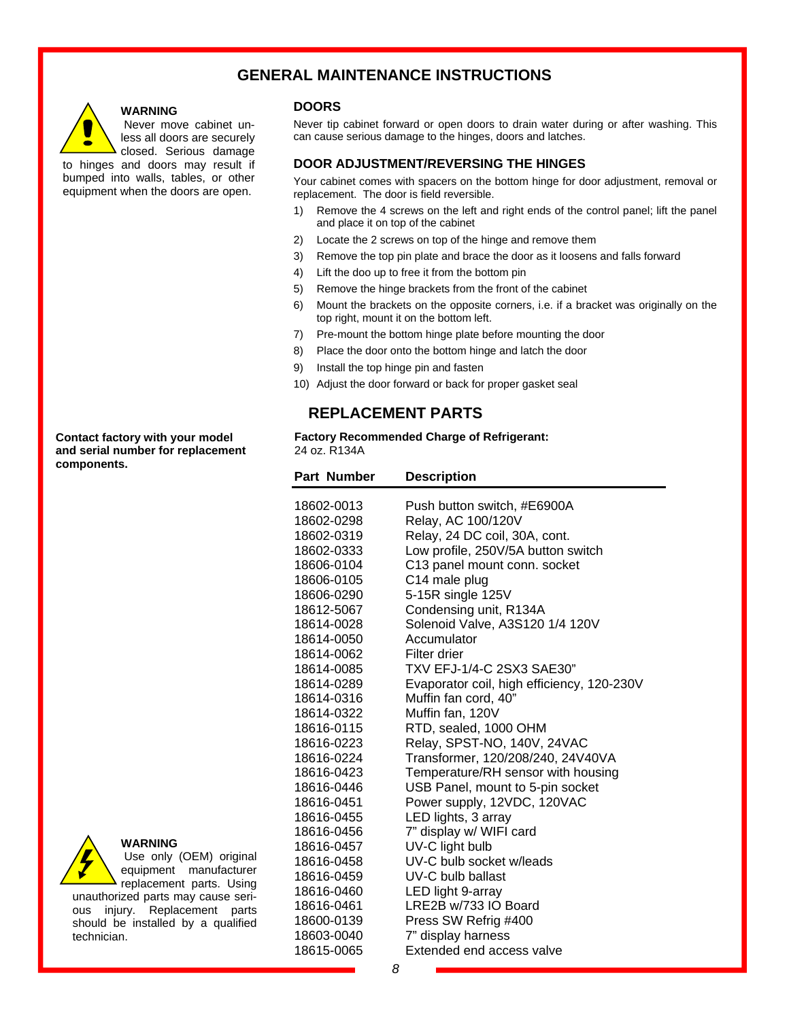# **GENERAL MAINTENANCE INSTRUCTIONS**



### **WARNING**

 Never move cabinet unless all doors are securely closed. Serious damage

to hinges and doors may result if bumped into walls, tables, or other equipment when the doors are open.

**DOORS** 

Never tip cabinet forward or open doors to drain water during or after washing. This can cause serious damage to the hinges, doors and latches.

### **DOOR ADJUSTMENT/REVERSING THE HINGES**

Your cabinet comes with spacers on the bottom hinge for door adjustment, removal or replacement. The door is field reversible.

- 1) Remove the 4 screws on the left and right ends of the control panel; lift the panel and place it on top of the cabinet
- 2) Locate the 2 screws on top of the hinge and remove them
- 3) Remove the top pin plate and brace the door as it loosens and falls forward
- 4) Lift the doo up to free it from the bottom pin
- 5) Remove the hinge brackets from the front of the cabinet
- 6) Mount the brackets on the opposite corners, i.e. if a bracket was originally on the top right, mount it on the bottom left.
- 7) Pre-mount the bottom hinge plate before mounting the door
- 8) Place the door onto the bottom hinge and latch the door
- 9) Install the top hinge pin and fasten
- 10) Adjust the door forward or back for proper gasket seal

# **REPLACEMENT PARTS**

**Factory Recommended Charge of Refrigerant:**  24 oz. R134A

| Part Number | <b>Description</b>                         |
|-------------|--------------------------------------------|
| 18602-0013  | Push button switch, #E6900A                |
| 18602-0298  | Relay, AC 100/120V                         |
| 18602-0319  | Relay, 24 DC coil, 30A, cont.              |
| 18602-0333  | Low profile, 250V/5A button switch         |
| 18606-0104  | C13 panel mount conn. socket               |
| 18606-0105  | C14 male plug                              |
| 18606-0290  | 5-15R single 125V                          |
| 18612-5067  | Condensing unit, R134A                     |
| 18614-0028  | Solenoid Valve, A3S120 1/4 120V            |
| 18614-0050  | Accumulator                                |
| 18614-0062  | Filter drier                               |
| 18614-0085  | TXV EFJ-1/4-C 2SX3 SAE30"                  |
| 18614-0289  | Evaporator coil, high efficiency, 120-230V |
| 18614-0316  | Muffin fan cord, 40"                       |
| 18614-0322  | Muffin fan, 120V                           |
| 18616-0115  | RTD, sealed, 1000 OHM                      |
| 18616-0223  | Relay, SPST-NO, 140V, 24VAC                |
| 18616-0224  | Transformer, 120/208/240, 24V40VA          |
| 18616-0423  | Temperature/RH sensor with housing         |
| 18616-0446  | USB Panel, mount to 5-pin socket           |
| 18616-0451  | Power supply, 12VDC, 120VAC                |
| 18616-0455  | LED lights, 3 array                        |
| 18616-0456  | 7" display w/ WIFI card                    |
| 18616-0457  | UV-C light bulb                            |
| 18616-0458  | UV-C bulb socket w/leads                   |
| 18616-0459  | UV-C bulb ballast                          |
| 18616-0460  | LED light 9-array                          |
| 18616-0461  | LRE2B w/733 IO Board                       |
| 18600-0139  | Press SW Refrig #400                       |
| 18603-0040  | 7" display harness                         |
| 18615-0065  | Extended end access valve                  |

**Contact factory with your model and serial number for replacement components.** 



# **WARNING**

 Use only (OEM) original equipment manufacturer replacement parts. Using unauthorized parts may cause serious injury. Replacement parts should be installed by a qualified technician.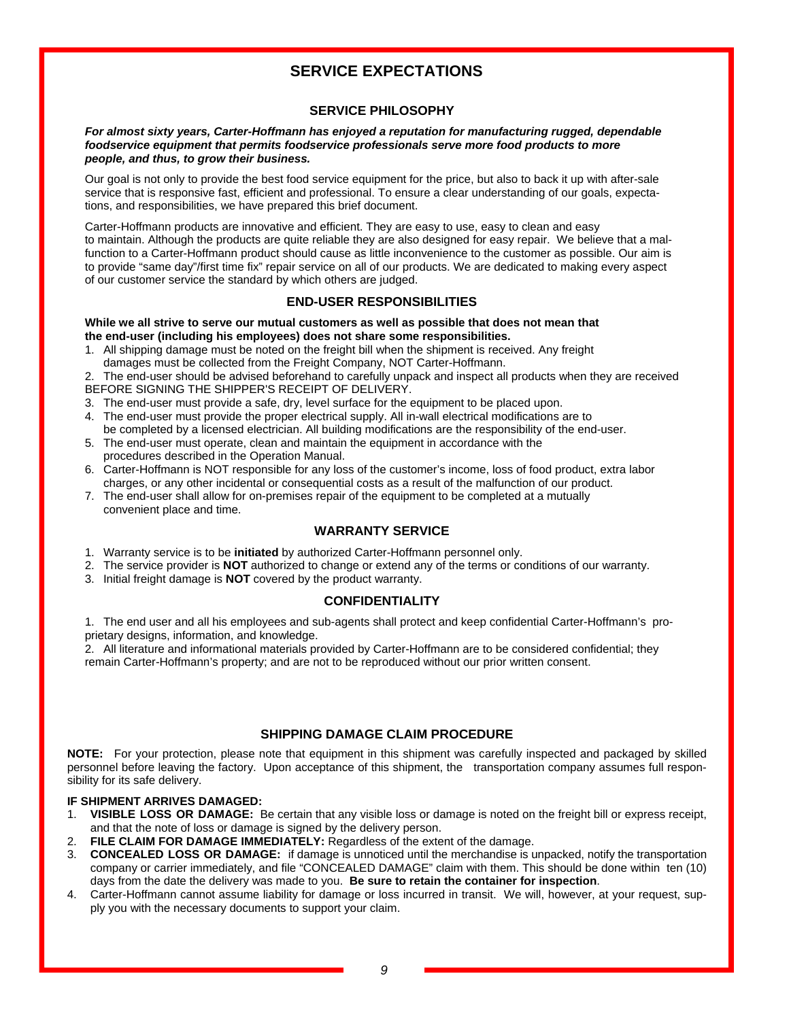# **SERVICE EXPECTATIONS**

### **SERVICE PHILOSOPHY**

#### *For almost sixty years, Carter-Hoffmann has enjoyed a reputation for manufacturing rugged, dependable foodservice equipment that permits foodservice professionals serve more food products to more people, and thus, to grow their business.*

Our goal is not only to provide the best food service equipment for the price, but also to back it up with after-sale service that is responsive fast, efficient and professional. To ensure a clear understanding of our goals, expectations, and responsibilities, we have prepared this brief document.

Carter-Hoffmann products are innovative and efficient. They are easy to use, easy to clean and easy to maintain. Although the products are quite reliable they are also designed for easy repair. We believe that a malfunction to a Carter-Hoffmann product should cause as little inconvenience to the customer as possible. Our aim is to provide "same day"/first time fix" repair service on all of our products. We are dedicated to making every aspect of our customer service the standard by which others are judged.

### **END-USER RESPONSIBILITIES**

#### **While we all strive to serve our mutual customers as well as possible that does not mean that the end-user (including his employees) does not share some responsibilities.**

1. All shipping damage must be noted on the freight bill when the shipment is received. Any freight damages must be collected from the Freight Company, NOT Carter-Hoffmann.

2. The end-user should be advised beforehand to carefully unpack and inspect all products when they are received BEFORE SIGNING THE SHIPPER'S RECEIPT OF DELIVERY.

- 3. The end-user must provide a safe, dry, level surface for the equipment to be placed upon.
- 4. The end-user must provide the proper electrical supply. All in-wall electrical modifications are to
- be completed by a licensed electrician. All building modifications are the responsibility of the end-user. 5. The end-user must operate, clean and maintain the equipment in accordance with the
- procedures described in the Operation Manual.
- 6. Carter-Hoffmann is NOT responsible for any loss of the customer's income, loss of food product, extra labor charges, or any other incidental or consequential costs as a result of the malfunction of our product.
- 7. The end-user shall allow for on-premises repair of the equipment to be completed at a mutually convenient place and time.

### **WARRANTY SERVICE**

- 1. Warranty service is to be **initiated** by authorized Carter-Hoffmann personnel only.
- 2. The service provider is **NOT** authorized to change or extend any of the terms or conditions of our warranty.
- 3. Initial freight damage is **NOT** covered by the product warranty.

### **CONFIDENTIALITY**

1. The end user and all his employees and sub-agents shall protect and keep confidential Carter-Hoffmann's proprietary designs, information, and knowledge.

2. All literature and informational materials provided by Carter-Hoffmann are to be considered confidential; they remain Carter-Hoffmann's property; and are not to be reproduced without our prior written consent.

### **SHIPPING DAMAGE CLAIM PROCEDURE**

**NOTE:** For your protection, please note that equipment in this shipment was carefully inspected and packaged by skilled personnel before leaving the factory. Upon acceptance of this shipment, the transportation company assumes full responsibility for its safe delivery.

### **IF SHIPMENT ARRIVES DAMAGED:**

- 1. **VISIBLE LOSS OR DAMAGE:** Be certain that any visible loss or damage is noted on the freight bill or express receipt, and that the note of loss or damage is signed by the delivery person.
- 2. **FILE CLAIM FOR DAMAGE IMMEDIATELY:** Regardless of the extent of the damage.
- 3. **CONCEALED LOSS OR DAMAGE:** if damage is unnoticed until the merchandise is unpacked, notify the transportation company or carrier immediately, and file "CONCEALED DAMAGE" claim with them. This should be done within ten (10) days from the date the delivery was made to you. **Be sure to retain the container for inspection**.
- 4. Carter-Hoffmann cannot assume liability for damage or loss incurred in transit. We will, however, at your request, supply you with the necessary documents to support your claim.